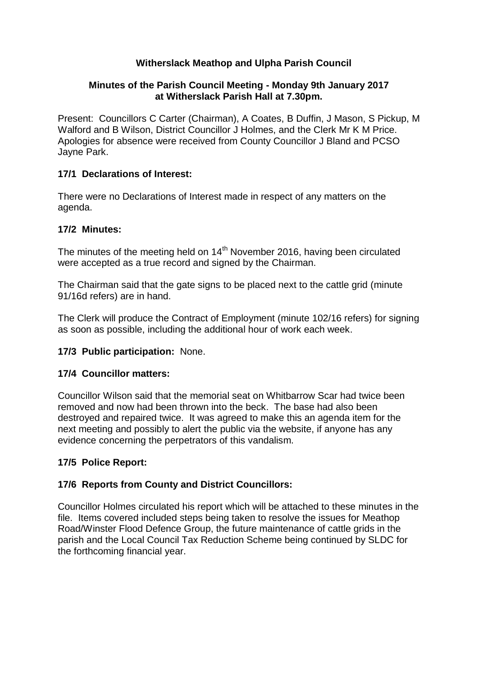# **Witherslack Meathop and Ulpha Parish Council**

## **Minutes of the Parish Council Meeting - Monday 9th January 2017 at Witherslack Parish Hall at 7.30pm.**

Present: Councillors C Carter (Chairman), A Coates, B Duffin, J Mason, S Pickup, M Walford and B Wilson, District Councillor J Holmes, and the Clerk Mr K M Price. Apologies for absence were received from County Councillor J Bland and PCSO Jayne Park.

## **17/1 Declarations of Interest:**

There were no Declarations of Interest made in respect of any matters on the agenda.

## **17/2 Minutes:**

The minutes of the meeting held on  $14<sup>th</sup>$  November 2016, having been circulated were accepted as a true record and signed by the Chairman.

The Chairman said that the gate signs to be placed next to the cattle grid (minute 91/16d refers) are in hand.

The Clerk will produce the Contract of Employment (minute 102/16 refers) for signing as soon as possible, including the additional hour of work each week.

# **17/3 Public participation:** None.

#### **17/4 Councillor matters:**

Councillor Wilson said that the memorial seat on Whitbarrow Scar had twice been removed and now had been thrown into the beck. The base had also been destroyed and repaired twice. It was agreed to make this an agenda item for the next meeting and possibly to alert the public via the website, if anyone has any evidence concerning the perpetrators of this vandalism.

# **17/5 Police Report:**

# **17/6 Reports from County and District Councillors:**

Councillor Holmes circulated his report which will be attached to these minutes in the file. Items covered included steps being taken to resolve the issues for Meathop Road/Winster Flood Defence Group, the future maintenance of cattle grids in the parish and the Local Council Tax Reduction Scheme being continued by SLDC for the forthcoming financial year.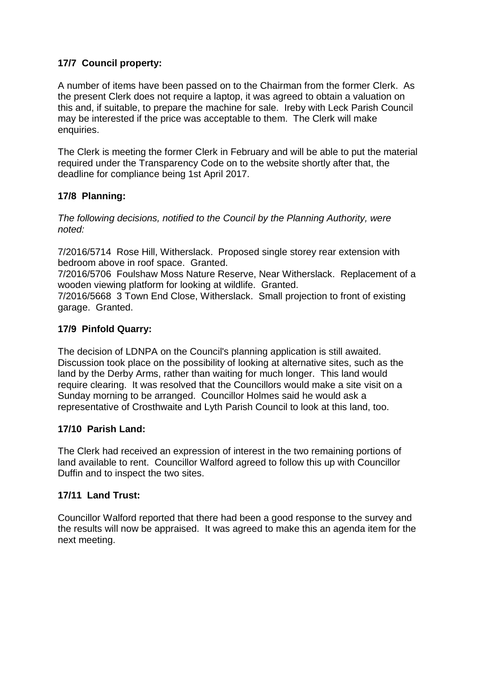# **17/7 Council property:**

A number of items have been passed on to the Chairman from the former Clerk. As the present Clerk does not require a laptop, it was agreed to obtain a valuation on this and, if suitable, to prepare the machine for sale. Ireby with Leck Parish Council may be interested if the price was acceptable to them. The Clerk will make enquiries.

The Clerk is meeting the former Clerk in February and will be able to put the material required under the Transparency Code on to the website shortly after that, the deadline for compliance being 1st April 2017.

## **17/8 Planning:**

*The following decisions, notified to the Council by the Planning Authority, were noted:*

7/2016/5714 Rose Hill, Witherslack. Proposed single storey rear extension with bedroom above in roof space. Granted.

7/2016/5706 Foulshaw Moss Nature Reserve, Near Witherslack. Replacement of a wooden viewing platform for looking at wildlife. Granted.

7/2016/5668 3 Town End Close, Witherslack. Small projection to front of existing garage. Granted.

## **17/9 Pinfold Quarry:**

The decision of LDNPA on the Council's planning application is still awaited. Discussion took place on the possibility of looking at alternative sites, such as the land by the Derby Arms, rather than waiting for much longer. This land would require clearing. It was resolved that the Councillors would make a site visit on a Sunday morning to be arranged. Councillor Holmes said he would ask a representative of Crosthwaite and Lyth Parish Council to look at this land, too.

#### **17/10 Parish Land:**

The Clerk had received an expression of interest in the two remaining portions of land available to rent. Councillor Walford agreed to follow this up with Councillor Duffin and to inspect the two sites.

#### **17/11 Land Trust:**

Councillor Walford reported that there had been a good response to the survey and the results will now be appraised. It was agreed to make this an agenda item for the next meeting.